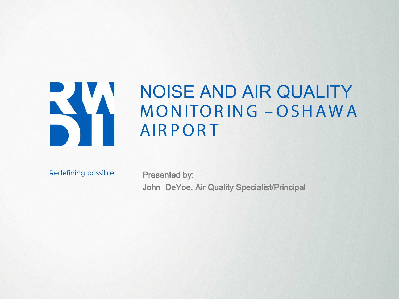

# NOISE AND AIR QUALITY MONITOR ING – OSHAWA **AIRPORT**

Redefining possible.

Presented by: John DeYoe, Air Quality Specialist/Principal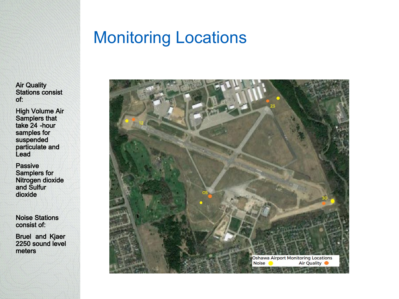### Monitoring Locations

Air Quality Stations consist of:

High Volume Air Samplers that take 24 -hour samples for suspended particulate and Lead

Passive Samplers for Nitrogen dioxide and Sulfur dioxide

Noise Stations consist of:

Bruel and Kjaer 2250 sound level meters

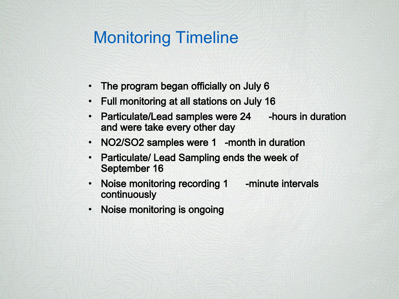# Monitoring Timeline

- The program began officially on July 6
- Full monitoring at all stations on July 16
- Particulate/Lead samples were 24 hours in duration and were take every other day
- NO2/SO2 samples were 1 -month in duration
- Particulate/ Lead Sampling ends the week of September 16
- Noise monitoring recording 1 -minute intervals continuously
- Noise monitoring is ongoing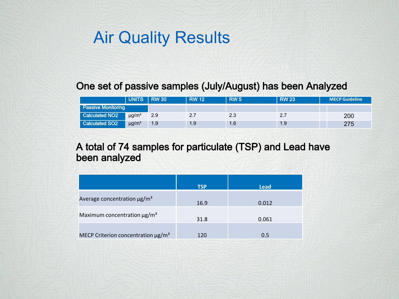## Air Quality Results

### One set of passive samples (July/August) has been Analyzed

|                            | UNITS RW 30            |     | <b>RW 12</b> | <b>RW 5</b> | <b>RW 23</b> | <b>MECP Guideline</b> |
|----------------------------|------------------------|-----|--------------|-------------|--------------|-----------------------|
| <b>Passive Monitoring</b>  |                        |     |              |             |              |                       |
| Calculated NO <sub>2</sub> | $\mu q/m^3$            | 2.9 | 2.7          | 2.3         | 2.7          | 200                   |
| <b>Calculated SO2</b>      | $\mu$ g/m <sup>3</sup> | 1.9 | 1.9          | 1.6         | 1.9          | 275                   |

#### A total of 74 samples for particulate (TSP) and Lead have been analyzed

|                                                     | <b>TSP</b> | Lead  |
|-----------------------------------------------------|------------|-------|
| Average concentration $\mu$ g/m <sup>3</sup>        | 16.9       | 0.012 |
| Maximum concentration $\mu$ g/m <sup>3</sup>        | 31.8       | 0.061 |
| MECP Criterion concentration $\mu$ g/m <sup>3</sup> | 120        | 0.5   |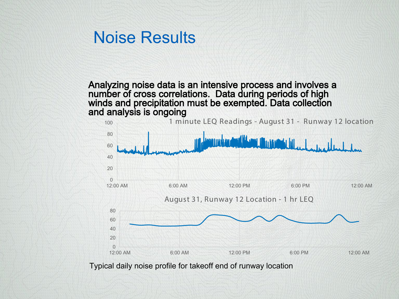### Noise Results

Analyzing noise data is an intensive process and involves a number of cross correlations. Data during periods of high winds and precipitation must be exempted. Data collection and analysis is ongoing



Typical daily noise profile for takeoff end of runway location